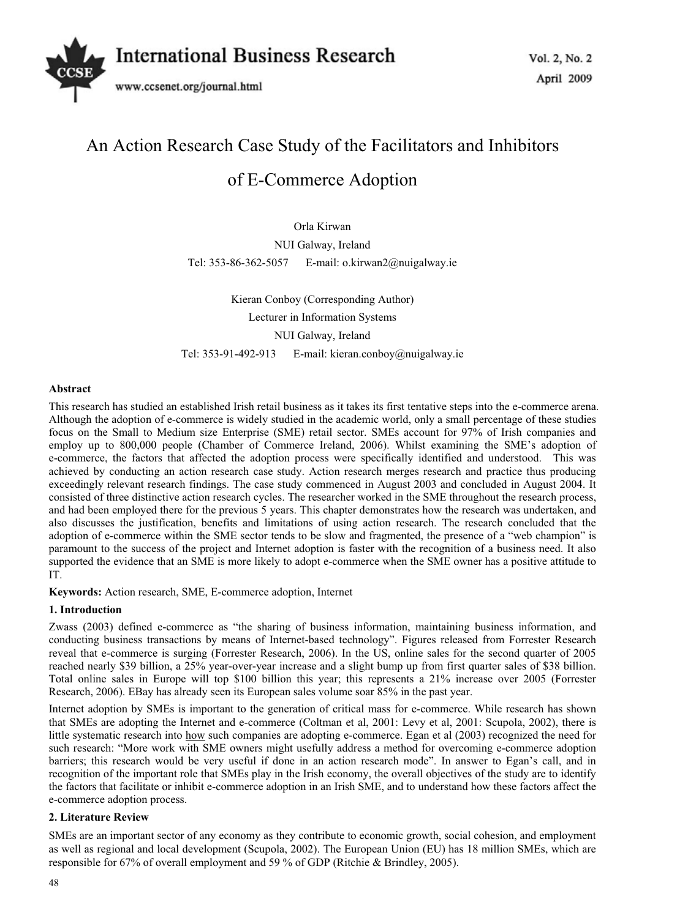

# An Action Research Case Study of the Facilitators and Inhibitors of E-Commerce Adoption

Orla Kirwan NUI Galway, Ireland Tel: 353-86-362-5057 E-mail: o.kirwan2@nuigalway.ie

Kieran Conboy (Corresponding Author) Lecturer in Information Systems NUI Galway, Ireland Tel: 353-91-492-913 E-mail: kieran.conboy@nuigalway.ie

# **Abstract**

This research has studied an established Irish retail business as it takes its first tentative steps into the e-commerce arena. Although the adoption of e-commerce is widely studied in the academic world, only a small percentage of these studies focus on the Small to Medium size Enterprise (SME) retail sector. SMEs account for 97% of Irish companies and employ up to 800,000 people (Chamber of Commerce Ireland, 2006). Whilst examining the SME's adoption of e-commerce, the factors that affected the adoption process were specifically identified and understood. This was achieved by conducting an action research case study. Action research merges research and practice thus producing exceedingly relevant research findings. The case study commenced in August 2003 and concluded in August 2004. It consisted of three distinctive action research cycles. The researcher worked in the SME throughout the research process, and had been employed there for the previous 5 years. This chapter demonstrates how the research was undertaken, and also discusses the justification, benefits and limitations of using action research. The research concluded that the adoption of e-commerce within the SME sector tends to be slow and fragmented, the presence of a "web champion" is paramount to the success of the project and Internet adoption is faster with the recognition of a business need. It also supported the evidence that an SME is more likely to adopt e-commerce when the SME owner has a positive attitude to IT.

**Keywords:** Action research, SME, E-commerce adoption, Internet

#### **1. Introduction**

Zwass (2003) defined e-commerce as "the sharing of business information, maintaining business information, and conducting business transactions by means of Internet-based technology". Figures released from Forrester Research reveal that e-commerce is surging (Forrester Research, 2006). In the US, online sales for the second quarter of 2005 reached nearly \$39 billion, a 25% year-over-year increase and a slight bump up from first quarter sales of \$38 billion. Total online sales in Europe will top \$100 billion this year; this represents a 21% increase over 2005 (Forrester Research, 2006). EBay has already seen its European sales volume soar 85% in the past year.

Internet adoption by SMEs is important to the generation of critical mass for e-commerce. While research has shown that SMEs are adopting the Internet and e-commerce (Coltman et al, 2001: Levy et al, 2001: Scupola, 2002), there is little systematic research into how such companies are adopting e-commerce. Egan et al (2003) recognized the need for such research: "More work with SME owners might usefully address a method for overcoming e-commerce adoption barriers; this research would be very useful if done in an action research mode". In answer to Egan's call, and in recognition of the important role that SMEs play in the Irish economy, the overall objectives of the study are to identify the factors that facilitate or inhibit e-commerce adoption in an Irish SME, and to understand how these factors affect the e-commerce adoption process.

#### **2. Literature Review**

SMEs are an important sector of any economy as they contribute to economic growth, social cohesion, and employment as well as regional and local development (Scupola, 2002). The European Union (EU) has 18 million SMEs, which are responsible for 67% of overall employment and 59 % of GDP (Ritchie & Brindley, 2005).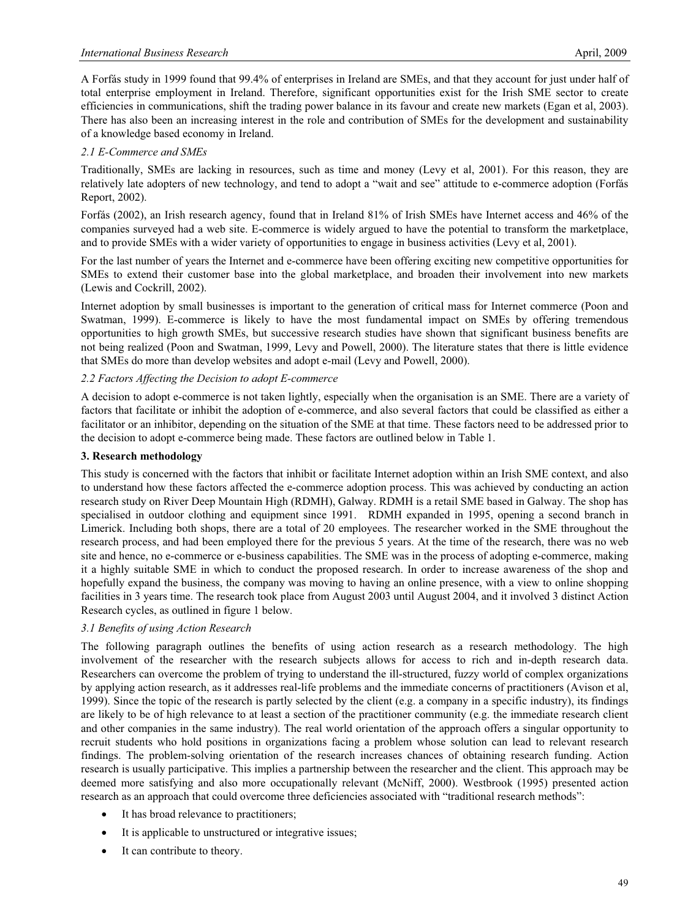A Forfás study in 1999 found that 99.4% of enterprises in Ireland are SMEs, and that they account for just under half of total enterprise employment in Ireland. Therefore, significant opportunities exist for the Irish SME sector to create efficiencies in communications, shift the trading power balance in its favour and create new markets (Egan et al, 2003). There has also been an increasing interest in the role and contribution of SMEs for the development and sustainability of a knowledge based economy in Ireland.

# *2.1 E-Commerce and SMEs*

Traditionally, SMEs are lacking in resources, such as time and money (Levy et al, 2001). For this reason, they are relatively late adopters of new technology, and tend to adopt a "wait and see" attitude to e-commerce adoption (Forfás Report, 2002).

Forfás (2002), an Irish research agency, found that in Ireland 81% of Irish SMEs have Internet access and 46% of the companies surveyed had a web site. E-commerce is widely argued to have the potential to transform the marketplace, and to provide SMEs with a wider variety of opportunities to engage in business activities (Levy et al, 2001).

For the last number of years the Internet and e-commerce have been offering exciting new competitive opportunities for SMEs to extend their customer base into the global marketplace, and broaden their involvement into new markets (Lewis and Cockrill, 2002).

Internet adoption by small businesses is important to the generation of critical mass for Internet commerce (Poon and Swatman, 1999). E-commerce is likely to have the most fundamental impact on SMEs by offering tremendous opportunities to high growth SMEs, but successive research studies have shown that significant business benefits are not being realized (Poon and Swatman, 1999, Levy and Powell, 2000). The literature states that there is little evidence that SMEs do more than develop websites and adopt e-mail (Levy and Powell, 2000).

# *2.2 Factors Affecting the Decision to adopt E-commerce*

A decision to adopt e-commerce is not taken lightly, especially when the organisation is an SME. There are a variety of factors that facilitate or inhibit the adoption of e-commerce, and also several factors that could be classified as either a facilitator or an inhibitor, depending on the situation of the SME at that time. These factors need to be addressed prior to the decision to adopt e-commerce being made. These factors are outlined below in Table 1.

#### **3. Research methodology**

This study is concerned with the factors that inhibit or facilitate Internet adoption within an Irish SME context, and also to understand how these factors affected the e-commerce adoption process. This was achieved by conducting an action research study on River Deep Mountain High (RDMH), Galway. RDMH is a retail SME based in Galway. The shop has specialised in outdoor clothing and equipment since 1991. RDMH expanded in 1995, opening a second branch in Limerick. Including both shops, there are a total of 20 employees. The researcher worked in the SME throughout the research process, and had been employed there for the previous 5 years. At the time of the research, there was no web site and hence, no e-commerce or e-business capabilities. The SME was in the process of adopting e-commerce, making it a highly suitable SME in which to conduct the proposed research. In order to increase awareness of the shop and hopefully expand the business, the company was moving to having an online presence, with a view to online shopping facilities in 3 years time. The research took place from August 2003 until August 2004, and it involved 3 distinct Action Research cycles, as outlined in figure 1 below.

#### *3.1 Benefits of using Action Research*

The following paragraph outlines the benefits of using action research as a research methodology. The high involvement of the researcher with the research subjects allows for access to rich and in-depth research data. Researchers can overcome the problem of trying to understand the ill-structured, fuzzy world of complex organizations by applying action research, as it addresses real-life problems and the immediate concerns of practitioners (Avison et al, 1999). Since the topic of the research is partly selected by the client (e.g. a company in a specific industry), its findings are likely to be of high relevance to at least a section of the practitioner community (e.g. the immediate research client and other companies in the same industry). The real world orientation of the approach offers a singular opportunity to recruit students who hold positions in organizations facing a problem whose solution can lead to relevant research findings. The problem-solving orientation of the research increases chances of obtaining research funding. Action research is usually participative. This implies a partnership between the researcher and the client. This approach may be deemed more satisfying and also more occupationally relevant (McNiff, 2000). Westbrook (1995) presented action research as an approach that could overcome three deficiencies associated with "traditional research methods":

- It has broad relevance to practitioners;
- It is applicable to unstructured or integrative issues;
- It can contribute to theory.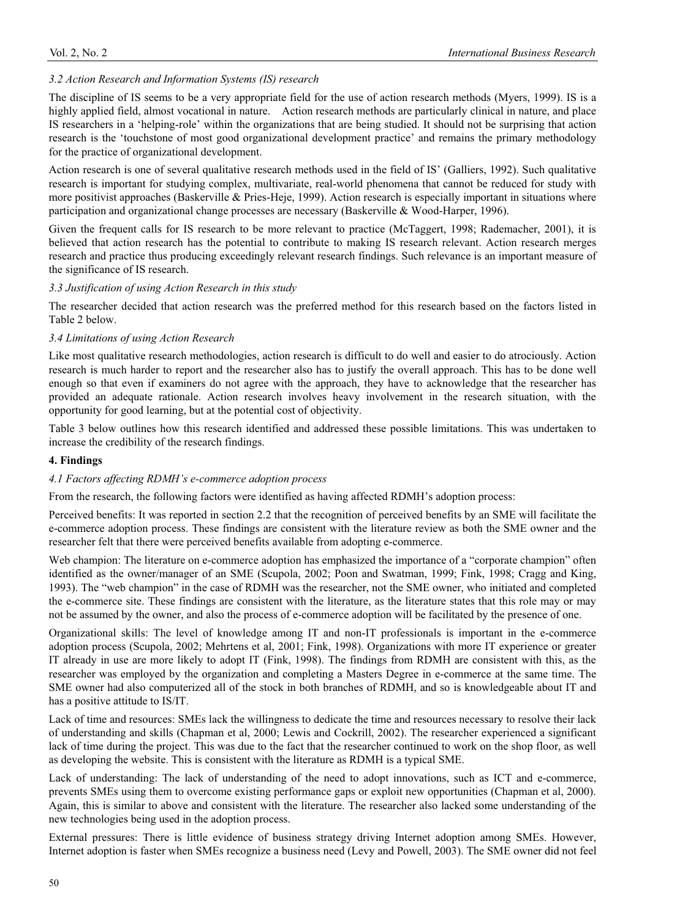# *3.2 Action Research and Information Systems (IS) research*

The discipline of IS seems to be a very appropriate field for the use of action research methods (Myers, 1999). IS is a highly applied field, almost vocational in nature. Action research methods are particularly clinical in nature, and place IS researchers in a 'helping-role' within the organizations that are being studied. It should not be surprising that action research is the 'touchstone of most good organizational development practice' and remains the primary methodology for the practice of organizational development.

Action research is one of several qualitative research methods used in the field of IS' (Galliers, 1992). Such qualitative research is important for studying complex, multivariate, real-world phenomena that cannot be reduced for study with more positivist approaches (Baskerville & Pries-Heje, 1999). Action research is especially important in situations where participation and organizational change processes are necessary (Baskerville & Wood-Harper, 1996).

Given the frequent calls for IS research to be more relevant to practice (McTaggert, 1998; Rademacher, 2001), it is believed that action research has the potential to contribute to making IS research relevant. Action research merges research and practice thus producing exceedingly relevant research findings. Such relevance is an important measure of the significance of IS research.

# *3.3 Justification of using Action Research in this study*

The researcher decided that action research was the preferred method for this research based on the factors listed in Table 2 below.

# *3.4 Limitations of using Action Research*

Like most qualitative research methodologies, action research is difficult to do well and easier to do atrociously. Action research is much harder to report and the researcher also has to justify the overall approach. This has to be done well enough so that even if examiners do not agree with the approach, they have to acknowledge that the researcher has provided an adequate rationale. Action research involves heavy involvement in the research situation, with the opportunity for good learning, but at the potential cost of objectivity.

Table 3 below outlines how this research identified and addressed these possible limitations. This was undertaken to increase the credibility of the research findings.

#### **4. Findings**

#### *4.1 Factors affecting RDMH's e-commerce adoption process*

From the research, the following factors were identified as having affected RDMH's adoption process:

Perceived benefits: It was reported in section 2.2 that the recognition of perceived benefits by an SME will facilitate the e-commerce adoption process. These findings are consistent with the literature review as both the SME owner and the researcher felt that there were perceived benefits available from adopting e-commerce.

Web champion: The literature on e-commerce adoption has emphasized the importance of a "corporate champion" often identified as the owner/manager of an SME (Scupola, 2002; Poon and Swatman, 1999; Fink, 1998; Cragg and King, 1993). The "web champion" in the case of RDMH was the researcher, not the SME owner, who initiated and completed the e-commerce site. These findings are consistent with the literature, as the literature states that this role may or may not be assumed by the owner, and also the process of e-commerce adoption will be facilitated by the presence of one.

Organizational skills: The level of knowledge among IT and non-IT professionals is important in the e-commerce adoption process (Scupola, 2002; Mehrtens et al, 2001; Fink, 1998). Organizations with more IT experience or greater IT already in use are more likely to adopt IT (Fink, 1998). The findings from RDMH are consistent with this, as the researcher was employed by the organization and completing a Masters Degree in e-commerce at the same time. The SME owner had also computerized all of the stock in both branches of RDMH, and so is knowledgeable about IT and has a positive attitude to IS/IT.

Lack of time and resources: SMEs lack the willingness to dedicate the time and resources necessary to resolve their lack of understanding and skills (Chapman et al, 2000; Lewis and Cockrill, 2002). The researcher experienced a significant lack of time during the project. This was due to the fact that the researcher continued to work on the shop floor, as well as developing the website. This is consistent with the literature as RDMH is a typical SME.

Lack of understanding: The lack of understanding of the need to adopt innovations, such as ICT and e-commerce, prevents SMEs using them to overcome existing performance gaps or exploit new opportunities (Chapman et al, 2000). Again, this is similar to above and consistent with the literature. The researcher also lacked some understanding of the new technologies being used in the adoption process.

External pressures: There is little evidence of business strategy driving Internet adoption among SMEs. However, Internet adoption is faster when SMEs recognize a business need (Levy and Powell, 2003). The SME owner did not feel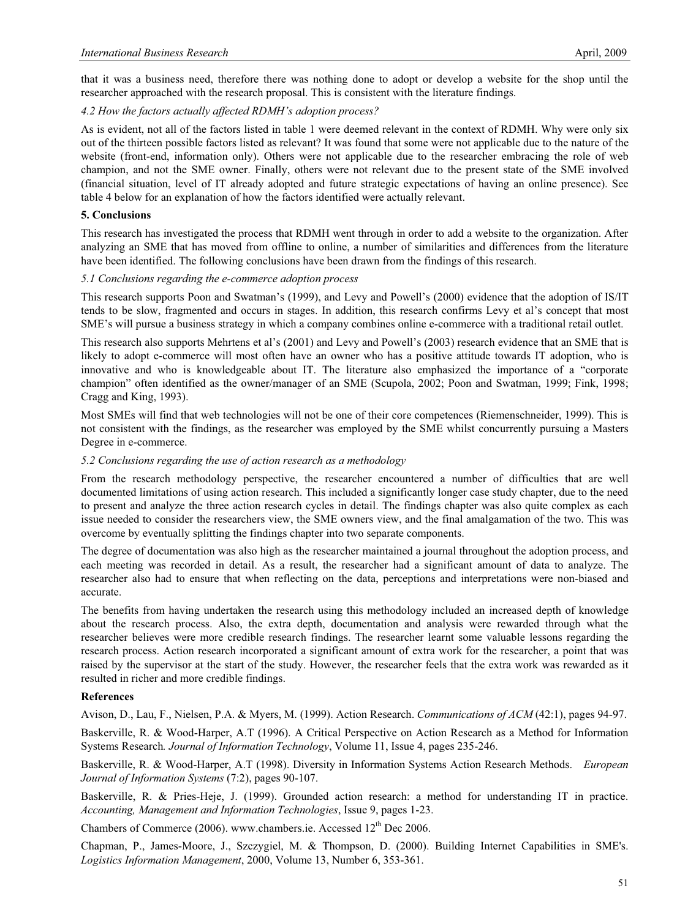that it was a business need, therefore there was nothing done to adopt or develop a website for the shop until the researcher approached with the research proposal. This is consistent with the literature findings.

# *4.2 How the factors actually affected RDMH's adoption process?*

As is evident, not all of the factors listed in table 1 were deemed relevant in the context of RDMH. Why were only six out of the thirteen possible factors listed as relevant? It was found that some were not applicable due to the nature of the website (front-end, information only). Others were not applicable due to the researcher embracing the role of web champion, and not the SME owner. Finally, others were not relevant due to the present state of the SME involved (financial situation, level of IT already adopted and future strategic expectations of having an online presence). See table 4 below for an explanation of how the factors identified were actually relevant.

# **5. Conclusions**

This research has investigated the process that RDMH went through in order to add a website to the organization. After analyzing an SME that has moved from offline to online, a number of similarities and differences from the literature have been identified. The following conclusions have been drawn from the findings of this research.

#### *5.1 Conclusions regarding the e-commerce adoption process*

This research supports Poon and Swatman's (1999), and Levy and Powell's (2000) evidence that the adoption of IS/IT tends to be slow, fragmented and occurs in stages. In addition, this research confirms Levy et al's concept that most SME's will pursue a business strategy in which a company combines online e-commerce with a traditional retail outlet.

This research also supports Mehrtens et al's (2001) and Levy and Powell's (2003) research evidence that an SME that is likely to adopt e-commerce will most often have an owner who has a positive attitude towards IT adoption, who is innovative and who is knowledgeable about IT. The literature also emphasized the importance of a "corporate champion" often identified as the owner/manager of an SME (Scupola, 2002; Poon and Swatman, 1999; Fink, 1998; Cragg and King, 1993).

Most SMEs will find that web technologies will not be one of their core competences (Riemenschneider, 1999). This is not consistent with the findings, as the researcher was employed by the SME whilst concurrently pursuing a Masters Degree in e-commerce.

#### *5.2 Conclusions regarding the use of action research as a methodology*

From the research methodology perspective, the researcher encountered a number of difficulties that are well documented limitations of using action research. This included a significantly longer case study chapter, due to the need to present and analyze the three action research cycles in detail. The findings chapter was also quite complex as each issue needed to consider the researchers view, the SME owners view, and the final amalgamation of the two. This was overcome by eventually splitting the findings chapter into two separate components.

The degree of documentation was also high as the researcher maintained a journal throughout the adoption process, and each meeting was recorded in detail. As a result, the researcher had a significant amount of data to analyze. The researcher also had to ensure that when reflecting on the data, perceptions and interpretations were non-biased and accurate.

The benefits from having undertaken the research using this methodology included an increased depth of knowledge about the research process. Also, the extra depth, documentation and analysis were rewarded through what the researcher believes were more credible research findings. The researcher learnt some valuable lessons regarding the research process. Action research incorporated a significant amount of extra work for the researcher, a point that was raised by the supervisor at the start of the study. However, the researcher feels that the extra work was rewarded as it resulted in richer and more credible findings.

# **References**

Avison, D., Lau, F., Nielsen, P.A. & Myers, M. (1999). Action Research. *Communications of ACM* (42:1), pages 94-97.

Baskerville, R. & Wood-Harper, A.T (1996). A Critical Perspective on Action Research as a Method for Information Systems Research*. Journal of Information Technology*, Volume 11, Issue 4, pages 235-246.

Baskerville, R. & Wood-Harper, A.T (1998). Diversity in Information Systems Action Research Methods. *European Journal of Information Systems* (7:2), pages 90-107.

Baskerville, R. & Pries-Heje, J. (1999). Grounded action research: a method for understanding IT in practice. *Accounting, Management and Information Technologies*, Issue 9, pages 1-23.

Chambers of Commerce (2006). www.chambers.ie. Accessed  $12<sup>th</sup>$  Dec 2006.

Chapman, P., James-Moore, J., Szczygiel, M. & Thompson, D. (2000). Building Internet Capabilities in SME's. *Logistics Information Management*, 2000, Volume 13, Number 6, 353-361.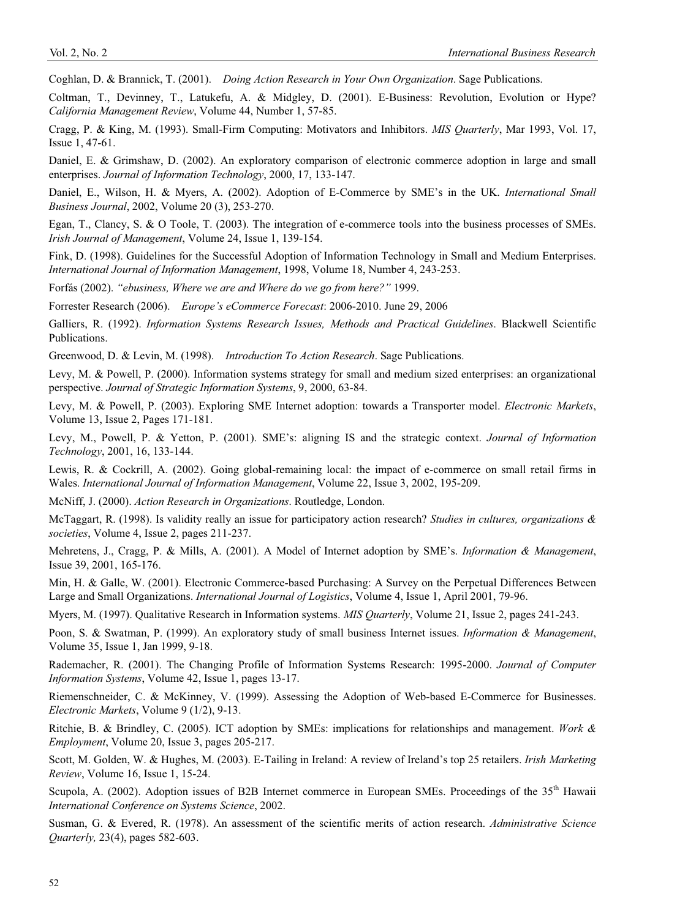Coghlan, D. & Brannick, T. (2001). *Doing Action Research in Your Own Organization*. Sage Publications.

Coltman, T., Devinney, T., Latukefu, A. & Midgley, D. (2001). E-Business: Revolution, Evolution or Hype? *California Management Review*, Volume 44, Number 1, 57-85.

Cragg, P. & King, M. (1993). Small-Firm Computing: Motivators and Inhibitors. *MIS Quarterly*, Mar 1993, Vol. 17, Issue 1, 47-61.

Daniel, E. & Grimshaw, D. (2002). An exploratory comparison of electronic commerce adoption in large and small enterprises. *Journal of Information Technology*, 2000, 17, 133-147.

Daniel, E., Wilson, H. & Myers, A. (2002). Adoption of E-Commerce by SME's in the UK. *International Small Business Journal*, 2002, Volume 20 (3), 253-270.

Egan, T., Clancy, S. & O Toole, T. (2003). The integration of e-commerce tools into the business processes of SMEs. *Irish Journal of Management*, Volume 24, Issue 1, 139-154.

Fink, D. (1998). Guidelines for the Successful Adoption of Information Technology in Small and Medium Enterprises. *International Journal of Information Management*, 1998, Volume 18, Number 4, 243-253.

Forfás (2002). *"ebusiness, Where we are and Where do we go from here?"* 1999.

Forrester Research (2006). *Europe's eCommerce Forecast*: 2006-2010. June 29, 2006

Galliers, R. (1992). *Information Systems Research Issues, Methods and Practical Guidelines*. Blackwell Scientific Publications.

Greenwood, D. & Levin, M. (1998). *Introduction To Action Research*. Sage Publications.

Levy, M. & Powell, P. (2000). Information systems strategy for small and medium sized enterprises: an organizational perspective. *Journal of Strategic Information Systems*, 9, 2000, 63-84.

Levy, M. & Powell, P. (2003). Exploring SME Internet adoption: towards a Transporter model. *Electronic Markets*, Volume 13, Issue 2, Pages 171-181.

Levy, M., Powell, P. & Yetton, P. (2001). SME's: aligning IS and the strategic context. *Journal of Information Technology*, 2001, 16, 133-144.

Lewis, R. & Cockrill, A. (2002). Going global-remaining local: the impact of e-commerce on small retail firms in Wales. *International Journal of Information Management*, Volume 22, Issue 3, 2002, 195-209.

McNiff, J. (2000). *Action Research in Organizations*. Routledge, London.

McTaggart, R. (1998). Is validity really an issue for participatory action research? *Studies in cultures, organizations & societies*, Volume 4, Issue 2, pages 211-237.

Mehretens, J., Cragg, P. & Mills, A. (2001). A Model of Internet adoption by SME's. *Information & Management*, Issue 39, 2001, 165-176.

Min, H. & Galle, W. (2001). Electronic Commerce-based Purchasing: A Survey on the Perpetual Differences Between Large and Small Organizations. *International Journal of Logistics*, Volume 4, Issue 1, April 2001, 79-96.

Myers, M. (1997). Qualitative Research in Information systems. *MIS Quarterly*, Volume 21, Issue 2, pages 241-243.

Poon, S. & Swatman, P. (1999). An exploratory study of small business Internet issues. *Information & Management*, Volume 35, Issue 1, Jan 1999, 9-18.

Rademacher, R. (2001). The Changing Profile of Information Systems Research: 1995-2000. *Journal of Computer Information Systems*, Volume 42, Issue 1, pages 13-17.

Riemenschneider, C. & McKinney, V. (1999). Assessing the Adoption of Web-based E-Commerce for Businesses. *Electronic Markets*, Volume 9 (1/2), 9-13.

Ritchie, B. & Brindley, C. (2005). ICT adoption by SMEs: implications for relationships and management. *Work & Employment*, Volume 20, Issue 3, pages 205-217.

Scott, M. Golden, W. & Hughes, M. (2003). E-Tailing in Ireland: A review of Ireland's top 25 retailers. *Irish Marketing Review*, Volume 16, Issue 1, 15-24.

Scupola, A. (2002). Adoption issues of B2B Internet commerce in European SMEs. Proceedings of the 35<sup>th</sup> Hawaii *International Conference on Systems Science*, 2002.

Susman, G. & Evered, R. (1978). An assessment of the scientific merits of action research. *Administrative Science Quarterly,* 23(4), pages 582-603.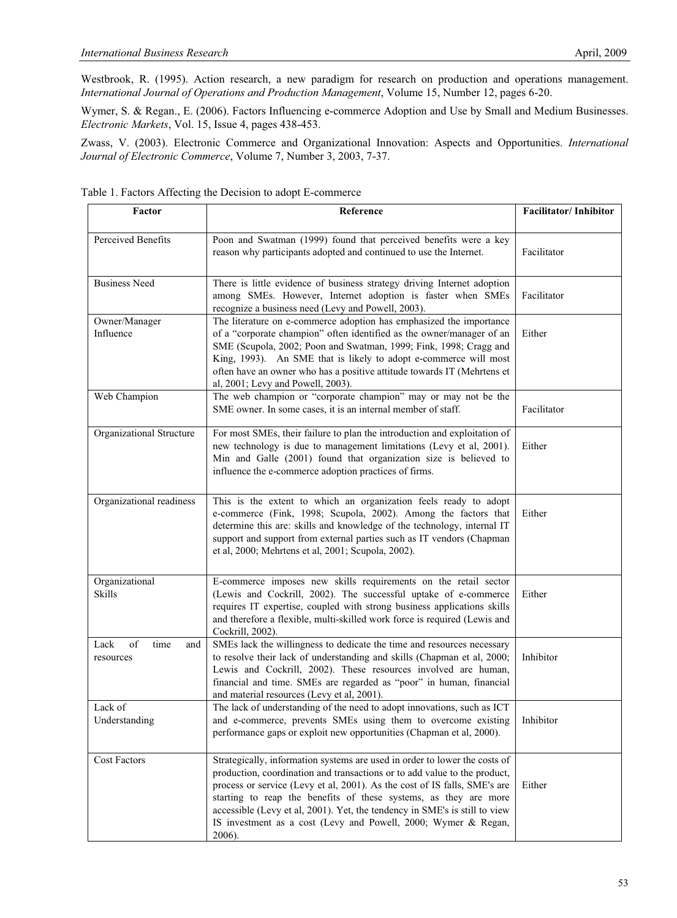Westbrook, R. (1995). Action research, a new paradigm for research on production and operations management. *International Journal of Operations and Production Management*, Volume 15, Number 12, pages 6-20.

Wymer, S. & Regan., E. (2006). Factors Influencing e-commerce Adoption and Use by Small and Medium Businesses. *Electronic Markets*, Vol. 15, Issue 4, pages 438-453.

Zwass, V. (2003). Electronic Commerce and Organizational Innovation: Aspects and Opportunities. *International Journal of Electronic Commerce*, Volume 7, Number 3, 2003, 7-37.

| Factor                                 | Reference                                                                                                                                                                                                                                                                                                                                                                                                                                                          | <b>Facilitator/Inhibitor</b> |  |  |
|----------------------------------------|--------------------------------------------------------------------------------------------------------------------------------------------------------------------------------------------------------------------------------------------------------------------------------------------------------------------------------------------------------------------------------------------------------------------------------------------------------------------|------------------------------|--|--|
| Perceived Benefits                     | Poon and Swatman (1999) found that perceived benefits were a key<br>reason why participants adopted and continued to use the Internet.<br>Facilitator                                                                                                                                                                                                                                                                                                              |                              |  |  |
| <b>Business Need</b>                   | There is little evidence of business strategy driving Internet adoption<br>among SMEs. However, Internet adoption is faster when SMEs<br>recognize a business need (Levy and Powell, 2003).                                                                                                                                                                                                                                                                        | Facilitator                  |  |  |
| Owner/Manager<br>Influence             | The literature on e-commerce adoption has emphasized the importance<br>of a "corporate champion" often identified as the owner/manager of an<br>SME (Scupola, 2002; Poon and Swatman, 1999; Fink, 1998; Cragg and<br>King, 1993). An SME that is likely to adopt e-commerce will most<br>often have an owner who has a positive attitude towards IT (Mehrtens et<br>al, 2001; Levy and Powell, 2003).                                                              | Either                       |  |  |
| Web Champion                           | The web champion or "corporate champion" may or may not be the<br>SME owner. In some cases, it is an internal member of staff.                                                                                                                                                                                                                                                                                                                                     | Facilitator                  |  |  |
| Organizational Structure               | For most SMEs, their failure to plan the introduction and exploitation of<br>new technology is due to management limitations (Levy et al, 2001).<br>Min and Galle (2001) found that organization size is believed to<br>influence the e-commerce adoption practices of firms.                                                                                                                                                                                      | Either                       |  |  |
| Organizational readiness               | This is the extent to which an organization feels ready to adopt<br>e-commerce (Fink, 1998; Scupola, 2002). Among the factors that<br>determine this are: skills and knowledge of the technology, internal IT<br>support and support from external parties such as IT vendors (Chapman<br>et al, 2000; Mehrtens et al, 2001; Scupola, 2002).                                                                                                                       | Either                       |  |  |
| Organizational<br><b>Skills</b>        | E-commerce imposes new skills requirements on the retail sector<br>(Lewis and Cockrill, 2002). The successful uptake of e-commerce<br>requires IT expertise, coupled with strong business applications skills<br>and therefore a flexible, multi-skilled work force is required (Lewis and<br>Cockrill, 2002).                                                                                                                                                     | Either                       |  |  |
| of<br>Lack<br>time<br>and<br>resources | SMEs lack the willingness to dedicate the time and resources necessary<br>to resolve their lack of understanding and skills (Chapman et al, 2000;<br>Lewis and Cockrill, 2002). These resources involved are human,<br>financial and time. SMEs are regarded as "poor" in human, financial<br>and material resources (Levy et al, 2001).                                                                                                                           | Inhibitor                    |  |  |
| Lack of<br>Understanding               | The lack of understanding of the need to adopt innovations, such as ICT<br>and e-commerce, prevents SMEs using them to overcome existing<br>performance gaps or exploit new opportunities (Chapman et al, 2000).                                                                                                                                                                                                                                                   | Inhibitor                    |  |  |
| Cost Factors                           | Strategically, information systems are used in order to lower the costs of<br>production, coordination and transactions or to add value to the product,<br>process or service (Levy et al, 2001). As the cost of IS falls, SME's are<br>starting to reap the benefits of these systems, as they are more<br>accessible (Levy et al, 2001). Yet, the tendency in SME's is still to view<br>IS investment as a cost (Levy and Powell, 2000; Wymer & Regan,<br>2006). | Either                       |  |  |

Table 1. Factors Affecting the Decision to adopt E-commerce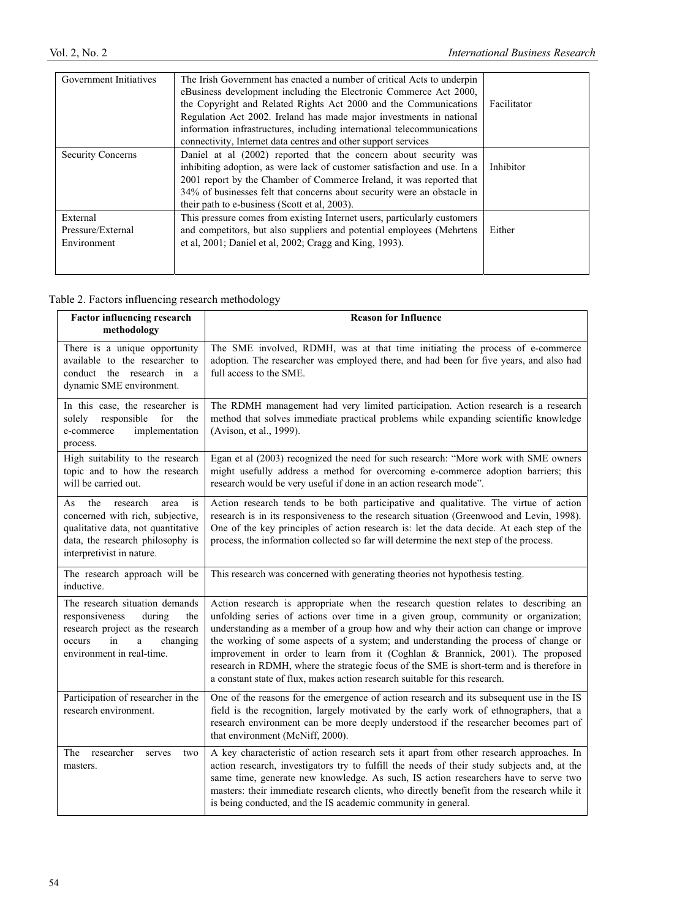| Government Initiatives   | The Irish Government has enacted a number of critical Acts to underpin   |             |
|--------------------------|--------------------------------------------------------------------------|-------------|
|                          | eBusiness development including the Electronic Commerce Act 2000,        |             |
|                          | the Copyright and Related Rights Act 2000 and the Communications         | Facilitator |
|                          | Regulation Act 2002. Ireland has made major investments in national      |             |
|                          | information infrastructures, including international telecommunications  |             |
|                          | connectivity, Internet data centres and other support services           |             |
| <b>Security Concerns</b> | Daniel at al (2002) reported that the concern about security was         |             |
|                          | inhibiting adoption, as were lack of customer satisfaction and use. In a | Inhibitor   |
|                          | 2001 report by the Chamber of Commerce Ireland, it was reported that     |             |
|                          | 34% of businesses felt that concerns about security were an obstacle in  |             |
|                          | their path to e-business (Scott et al, 2003).                            |             |
| External                 | This pressure comes from existing Internet users, particularly customers |             |
| Pressure/External        | and competitors, but also suppliers and potential employees (Mehrtens    | Either      |
| Environment              | et al, 2001; Daniel et al, 2002; Cragg and King, 1993).                  |             |
|                          |                                                                          |             |
|                          |                                                                          |             |

# Table 2. Factors influencing research methodology

| <b>Factor influencing research</b><br>methodology                                                                                                                              | <b>Reason for Influence</b>                                                                                                                                                                                                                                                                                                                                                                                                                                                                                                                                                                                         |
|--------------------------------------------------------------------------------------------------------------------------------------------------------------------------------|---------------------------------------------------------------------------------------------------------------------------------------------------------------------------------------------------------------------------------------------------------------------------------------------------------------------------------------------------------------------------------------------------------------------------------------------------------------------------------------------------------------------------------------------------------------------------------------------------------------------|
| There is a unique opportunity<br>available to the researcher to<br>conduct the research in<br>a<br>dynamic SME environment.                                                    | The SME involved, RDMH, was at that time initiating the process of e-commerce<br>adoption. The researcher was employed there, and had been for five years, and also had<br>full access to the SME.                                                                                                                                                                                                                                                                                                                                                                                                                  |
| In this case, the researcher is<br>solely<br>responsible<br>for<br>the<br>e-commerce<br>implementation<br>process.                                                             | The RDMH management had very limited participation. Action research is a research<br>method that solves immediate practical problems while expanding scientific knowledge<br>(Avison, et al., 1999).                                                                                                                                                                                                                                                                                                                                                                                                                |
| High suitability to the research<br>topic and to how the research<br>will be carried out.                                                                                      | Egan et al (2003) recognized the need for such research: "More work with SME owners<br>might usefully address a method for overcoming e-commerce adoption barriers; this<br>research would be very useful if done in an action research mode".                                                                                                                                                                                                                                                                                                                                                                      |
| research<br>is<br>the<br>area<br>As<br>concerned with rich, subjective,<br>qualitative data, not quantitative<br>data, the research philosophy is<br>interpretivist in nature. | Action research tends to be both participative and qualitative. The virtue of action<br>research is in its responsiveness to the research situation (Greenwood and Levin, 1998).<br>One of the key principles of action research is: let the data decide. At each step of the<br>process, the information collected so far will determine the next step of the process.                                                                                                                                                                                                                                             |
| The research approach will be<br>inductive.                                                                                                                                    | This research was concerned with generating theories not hypothesis testing.                                                                                                                                                                                                                                                                                                                                                                                                                                                                                                                                        |
| The research situation demands<br>responsiveness<br>during<br>the<br>research project as the research<br>in<br>changing<br>occurs<br>a<br>environment in real-time.            | Action research is appropriate when the research question relates to describing an<br>unfolding series of actions over time in a given group, community or organization;<br>understanding as a member of a group how and why their action can change or improve<br>the working of some aspects of a system; and understanding the process of change or<br>improvement in order to learn from it (Coghlan & Brannick, 2001). The proposed<br>research in RDMH, where the strategic focus of the SME is short-term and is therefore in<br>a constant state of flux, makes action research suitable for this research. |
| Participation of researcher in the<br>research environment.                                                                                                                    | One of the reasons for the emergence of action research and its subsequent use in the IS<br>field is the recognition, largely motivated by the early work of ethnographers, that a<br>research environment can be more deeply understood if the researcher becomes part of<br>that environment (McNiff, 2000).                                                                                                                                                                                                                                                                                                      |
| researcher<br>The<br>serves<br>two<br>masters.                                                                                                                                 | A key characteristic of action research sets it apart from other research approaches. In<br>action research, investigators try to fulfill the needs of their study subjects and, at the<br>same time, generate new knowledge. As such, IS action researchers have to serve two<br>masters: their immediate research clients, who directly benefit from the research while it<br>is being conducted, and the IS academic community in general.                                                                                                                                                                       |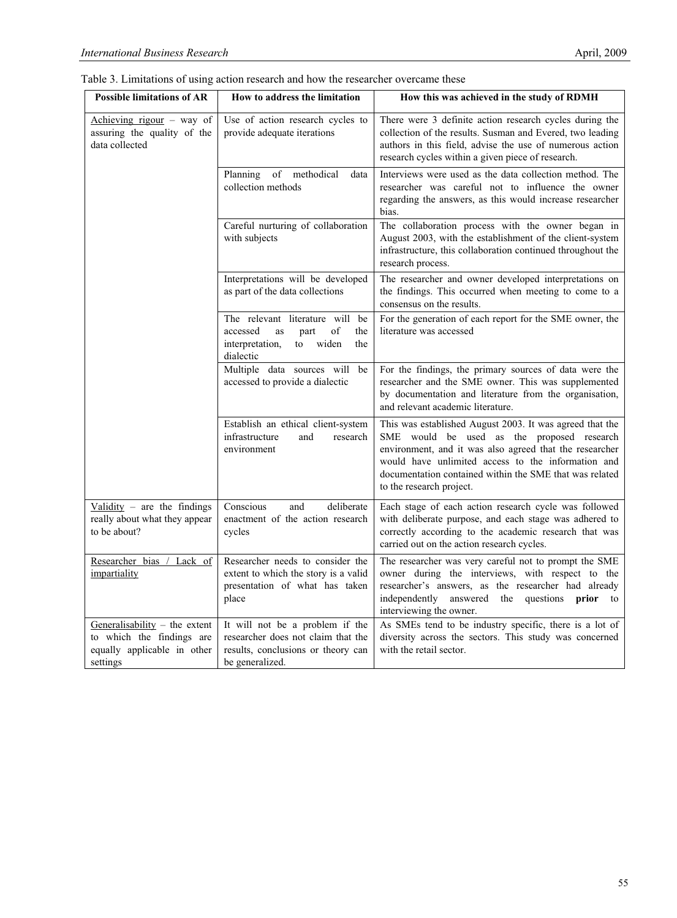|  |  |  |  |  |  |  |  | Table 3. Limitations of using action research and how the researcher overcame these |
|--|--|--|--|--|--|--|--|-------------------------------------------------------------------------------------|
|--|--|--|--|--|--|--|--|-------------------------------------------------------------------------------------|

| <b>Possible limitations of AR</b>                                                                       | How to address the limitation                                                                                                  | How this was achieved in the study of RDMH                                                                                                                                                                                                                                                                     |
|---------------------------------------------------------------------------------------------------------|--------------------------------------------------------------------------------------------------------------------------------|----------------------------------------------------------------------------------------------------------------------------------------------------------------------------------------------------------------------------------------------------------------------------------------------------------------|
| Achieving rigour $-$ way of<br>assuring the quality of the<br>data collected                            | Use of action research cycles to<br>provide adequate iterations                                                                | There were 3 definite action research cycles during the<br>collection of the results. Susman and Evered, two leading<br>authors in this field, advise the use of numerous action<br>research cycles within a given piece of research.                                                                          |
|                                                                                                         | of methodical<br>Planning<br>data<br>collection methods                                                                        | Interviews were used as the data collection method. The<br>researcher was careful not to influence the owner<br>regarding the answers, as this would increase researcher<br>bias.                                                                                                                              |
|                                                                                                         | Careful nurturing of collaboration<br>with subjects                                                                            | The collaboration process with the owner began in<br>August 2003, with the establishment of the client-system<br>infrastructure, this collaboration continued throughout the<br>research process.                                                                                                              |
|                                                                                                         | Interpretations will be developed<br>as part of the data collections                                                           | The researcher and owner developed interpretations on<br>the findings. This occurred when meeting to come to a<br>consensus on the results.                                                                                                                                                                    |
|                                                                                                         | The relevant literature will be<br>accessed<br>of<br>the<br>part<br>as<br>interpretation,<br>widen<br>the<br>to<br>dialectic   | For the generation of each report for the SME owner, the<br>literature was accessed                                                                                                                                                                                                                            |
|                                                                                                         | Multiple data sources will be<br>accessed to provide a dialectic                                                               | For the findings, the primary sources of data were the<br>researcher and the SME owner. This was supplemented<br>by documentation and literature from the organisation,<br>and relevant academic literature.                                                                                                   |
|                                                                                                         | Establish an ethical client-system<br>infrastructure<br>and<br>research<br>environment                                         | This was established August 2003. It was agreed that the<br>SME would be used as the proposed research<br>environment, and it was also agreed that the researcher<br>would have unlimited access to the information and<br>documentation contained within the SME that was related<br>to the research project. |
| Validity – are the findings<br>really about what they appear<br>to be about?                            | Conscious<br>deliberate<br>and<br>enactment of the action research<br>cycles                                                   | Each stage of each action research cycle was followed<br>with deliberate purpose, and each stage was adhered to<br>correctly according to the academic research that was<br>carried out on the action research cycles.                                                                                         |
| Researcher bias / Lack of<br>impartiality                                                               | Researcher needs to consider the<br>extent to which the story is a valid<br>presentation of what has taken<br>place            | The researcher was very careful not to prompt the SME<br>owner during the interviews, with respect to the<br>researcher's answers, as the researcher had already<br>independently answered the questions prior<br>to<br>interviewing the owner.                                                                |
| Generalisability $-$ the extent<br>to which the findings are<br>equally applicable in other<br>settings | It will not be a problem if the<br>researcher does not claim that the<br>results, conclusions or theory can<br>be generalized. | As SMEs tend to be industry specific, there is a lot of<br>diversity across the sectors. This study was concerned<br>with the retail sector.                                                                                                                                                                   |